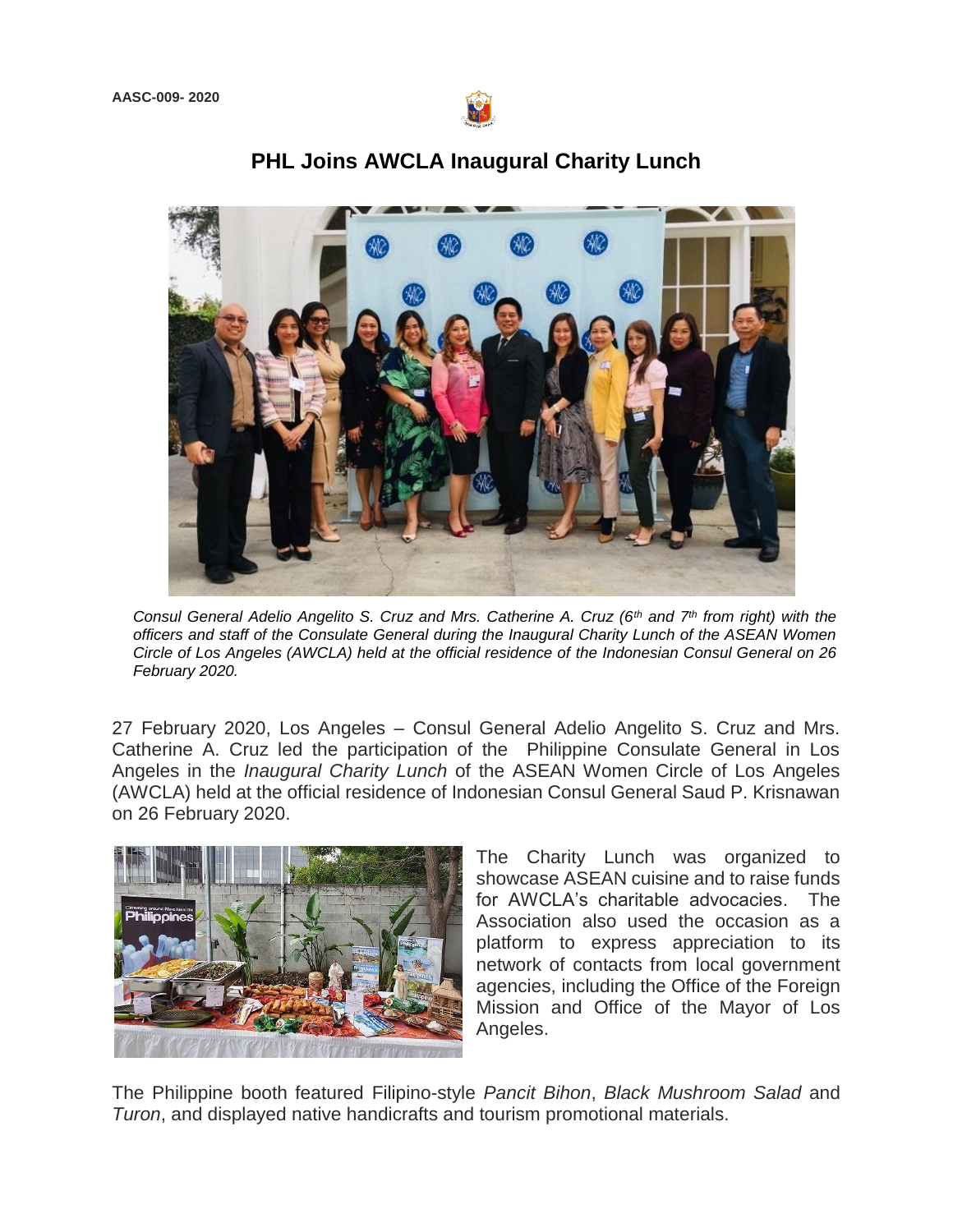

## **PHL Joins AWCLA Inaugural Charity Lunch**

*Consul General Adelio Angelito S. Cruz and Mrs. Catherine A. Cruz (6th and 7th from right) with the officers and staff of the Consulate General during the Inaugural Charity Lunch of the ASEAN Women Circle of Los Angeles (AWCLA) held at the official residence of the Indonesian Consul General on 26 February 2020.* 

27 February 2020, Los Angeles – Consul General Adelio Angelito S. Cruz and Mrs. Catherine A. Cruz led the participation of the Philippine Consulate General in Los Angeles in the *Inaugural Charity Lunch* of the ASEAN Women Circle of Los Angeles (AWCLA) held at the official residence of Indonesian Consul General Saud P. Krisnawan on 26 February 2020.



The Charity Lunch was organized to showcase ASEAN cuisine and to raise funds for AWCLA's charitable advocacies. The Association also used the occasion as a platform to express appreciation to its network of contacts from local government agencies, including the Office of the Foreign Mission and Office of the Mayor of Los Angeles.

The Philippine booth featured Filipino-style *Pancit Bihon*, *Black Mushroom Salad* and *Turon*, and displayed native handicrafts and tourism promotional materials.